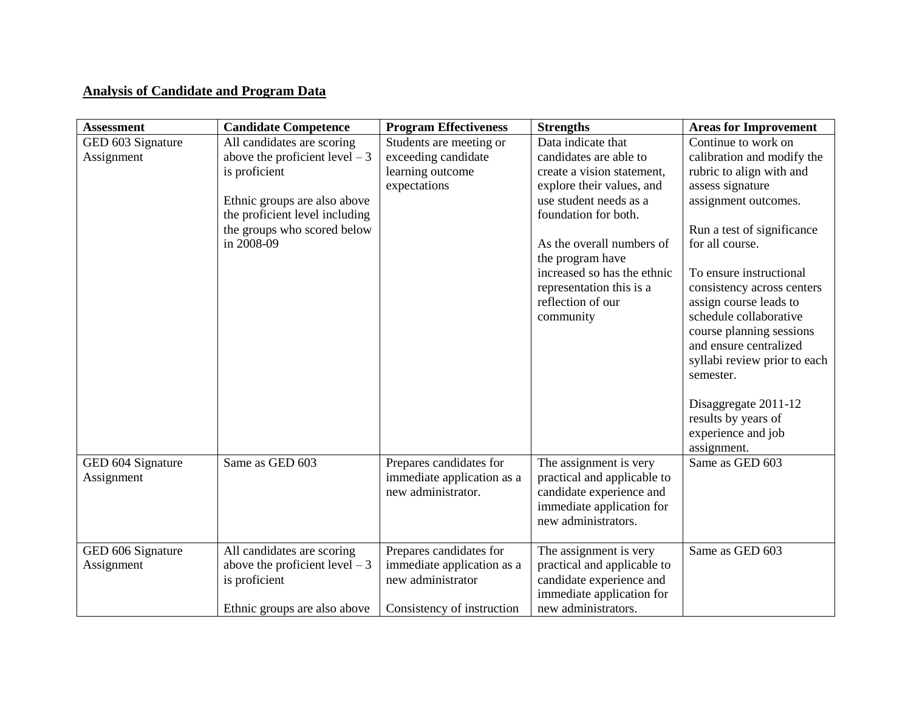## **Analysis of Candidate and Program Data**

| <b>Assessment</b>               | <b>Candidate Competence</b>                                                                                                                                                                   | <b>Program Effectiveness</b>                                                                             | <b>Strengths</b>                                                                                                                                                                                                                                                                                        | <b>Areas for Improvement</b>                                                                                                                                                                                                                                                                                                                                                                                                                                                   |
|---------------------------------|-----------------------------------------------------------------------------------------------------------------------------------------------------------------------------------------------|----------------------------------------------------------------------------------------------------------|---------------------------------------------------------------------------------------------------------------------------------------------------------------------------------------------------------------------------------------------------------------------------------------------------------|--------------------------------------------------------------------------------------------------------------------------------------------------------------------------------------------------------------------------------------------------------------------------------------------------------------------------------------------------------------------------------------------------------------------------------------------------------------------------------|
| GED 603 Signature<br>Assignment | All candidates are scoring<br>above the proficient level $-3$<br>is proficient<br>Ethnic groups are also above<br>the proficient level including<br>the groups who scored below<br>in 2008-09 | Students are meeting or<br>exceeding candidate<br>learning outcome<br>expectations                       | Data indicate that<br>candidates are able to<br>create a vision statement,<br>explore their values, and<br>use student needs as a<br>foundation for both.<br>As the overall numbers of<br>the program have<br>increased so has the ethnic<br>representation this is a<br>reflection of our<br>community | Continue to work on<br>calibration and modify the<br>rubric to align with and<br>assess signature<br>assignment outcomes.<br>Run a test of significance<br>for all course.<br>To ensure instructional<br>consistency across centers<br>assign course leads to<br>schedule collaborative<br>course planning sessions<br>and ensure centralized<br>syllabi review prior to each<br>semester.<br>Disaggregate 2011-12<br>results by years of<br>experience and job<br>assignment. |
| GED 604 Signature<br>Assignment | Same as GED 603                                                                                                                                                                               | Prepares candidates for<br>immediate application as a<br>new administrator.                              | The assignment is very<br>practical and applicable to<br>candidate experience and<br>immediate application for<br>new administrators.                                                                                                                                                                   | Same as GED 603                                                                                                                                                                                                                                                                                                                                                                                                                                                                |
| GED 606 Signature<br>Assignment | All candidates are scoring<br>above the proficient level $-3$<br>is proficient<br>Ethnic groups are also above                                                                                | Prepares candidates for<br>immediate application as a<br>new administrator<br>Consistency of instruction | The assignment is very<br>practical and applicable to<br>candidate experience and<br>immediate application for<br>new administrators.                                                                                                                                                                   | Same as GED 603                                                                                                                                                                                                                                                                                                                                                                                                                                                                |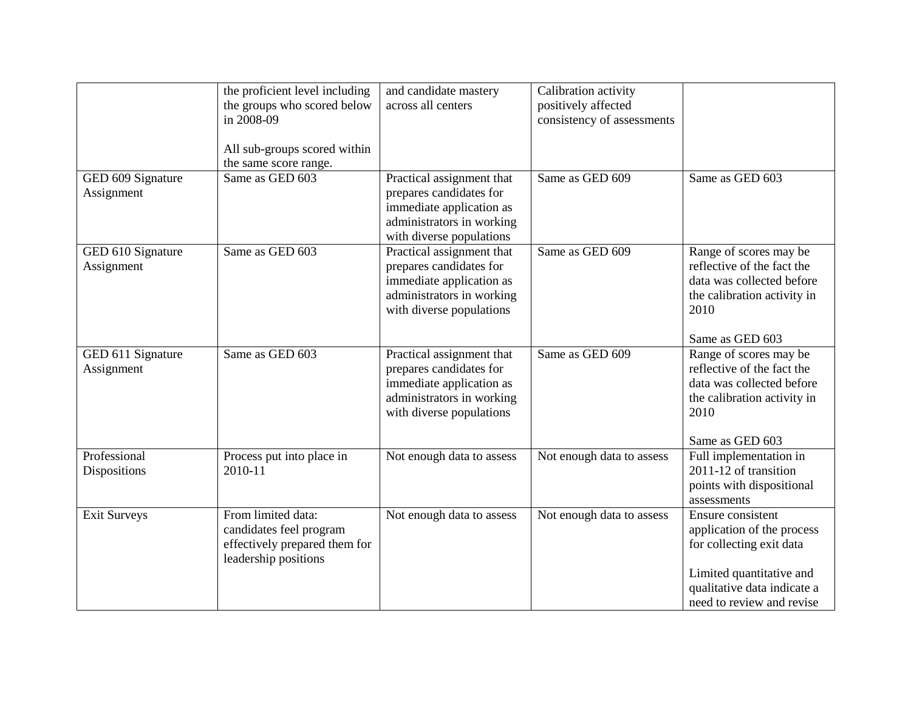|                                 | the proficient level including<br>the groups who scored below<br>in 2008-09<br>All sub-groups scored within | and candidate mastery<br>across all centers                                                                                               | Calibration activity<br>positively affected<br>consistency of assessments |                                                                                                                                                                     |
|---------------------------------|-------------------------------------------------------------------------------------------------------------|-------------------------------------------------------------------------------------------------------------------------------------------|---------------------------------------------------------------------------|---------------------------------------------------------------------------------------------------------------------------------------------------------------------|
| GED 609 Signature<br>Assignment | the same score range.<br>Same as GED 603                                                                    | Practical assignment that<br>prepares candidates for<br>immediate application as<br>administrators in working<br>with diverse populations | Same as GED 609                                                           | Same as GED 603                                                                                                                                                     |
| GED 610 Signature<br>Assignment | Same as GED 603                                                                                             | Practical assignment that<br>prepares candidates for<br>immediate application as<br>administrators in working<br>with diverse populations | Same as GED 609                                                           | Range of scores may be<br>reflective of the fact the<br>data was collected before<br>the calibration activity in<br>2010<br>Same as GED 603                         |
| GED 611 Signature<br>Assignment | Same as GED 603                                                                                             | Practical assignment that<br>prepares candidates for<br>immediate application as<br>administrators in working<br>with diverse populations | Same as GED 609                                                           | Range of scores may be<br>reflective of the fact the<br>data was collected before<br>the calibration activity in<br>2010<br>Same as GED 603                         |
| Professional<br>Dispositions    | Process put into place in<br>2010-11                                                                        | Not enough data to assess                                                                                                                 | Not enough data to assess                                                 | Full implementation in<br>2011-12 of transition<br>points with dispositional<br>assessments                                                                         |
| <b>Exit Surveys</b>             | From limited data:<br>candidates feel program<br>effectively prepared them for<br>leadership positions      | Not enough data to assess                                                                                                                 | Not enough data to assess                                                 | Ensure consistent<br>application of the process<br>for collecting exit data<br>Limited quantitative and<br>qualitative data indicate a<br>need to review and revise |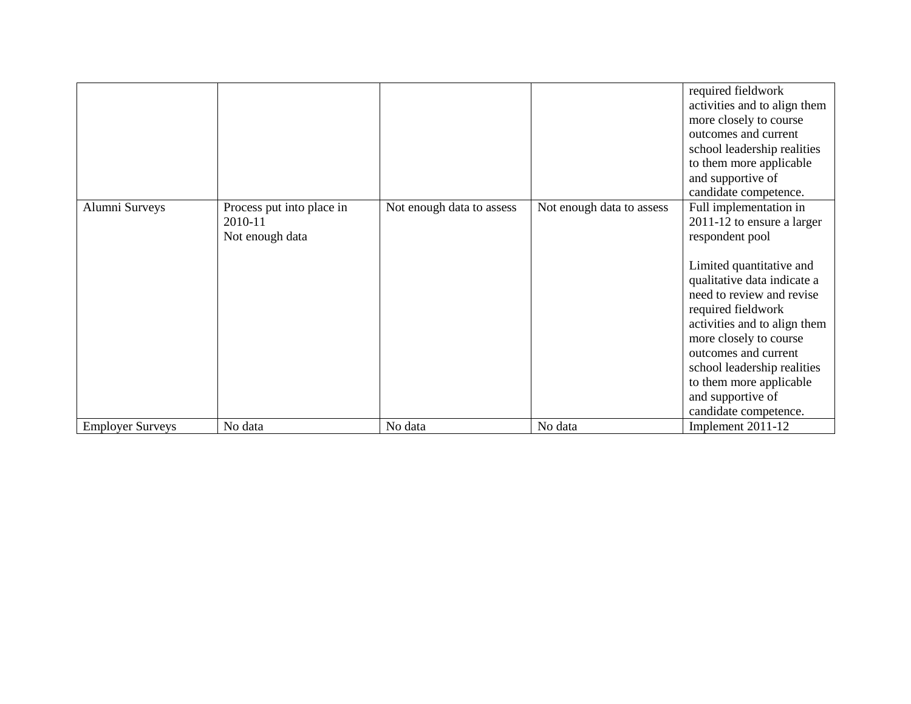|                         |                                                         |                           |                           | required fieldwork<br>activities and to align them<br>more closely to course<br>outcomes and current<br>school leadership realities<br>to them more applicable<br>and supportive of<br>candidate competence.                                                                                                                                                                    |
|-------------------------|---------------------------------------------------------|---------------------------|---------------------------|---------------------------------------------------------------------------------------------------------------------------------------------------------------------------------------------------------------------------------------------------------------------------------------------------------------------------------------------------------------------------------|
| Alumni Surveys          | Process put into place in<br>2010-11<br>Not enough data | Not enough data to assess | Not enough data to assess | Full implementation in<br>2011-12 to ensure a larger<br>respondent pool<br>Limited quantitative and<br>qualitative data indicate a<br>need to review and revise<br>required fieldwork<br>activities and to align them<br>more closely to course<br>outcomes and current<br>school leadership realities<br>to them more applicable<br>and supportive of<br>candidate competence. |
| <b>Employer Surveys</b> | No data                                                 | No data                   | No data                   | Implement 2011-12                                                                                                                                                                                                                                                                                                                                                               |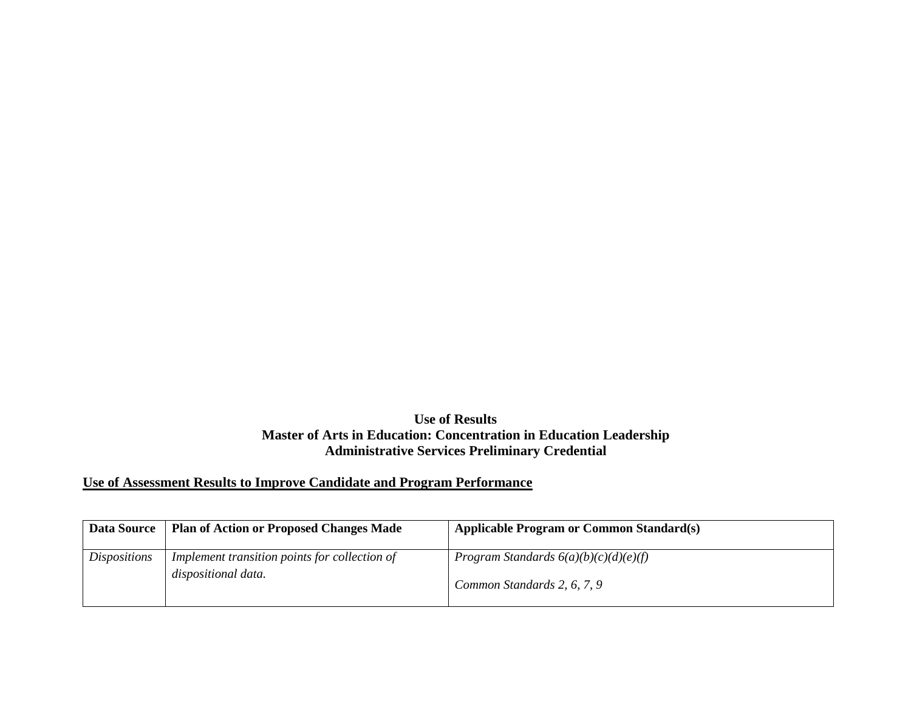## **Use of Results Master of Arts in Education: Concentration in Education Leadership Administrative Services Preliminary Credential**

## **Use of Assessment Results to Improve Candidate and Program Performance**

| <b>Data Source</b>  | <b>Plan of Action or Proposed Changes Made</b>                       | <b>Applicable Program or Common Standard(s)</b>                        |
|---------------------|----------------------------------------------------------------------|------------------------------------------------------------------------|
| <i>Dispositions</i> | Implement transition points for collection of<br>dispositional data. | Program Standards $6(a)(b)(c)(d)(e)(f)$<br>Common Standards 2, 6, 7, 9 |